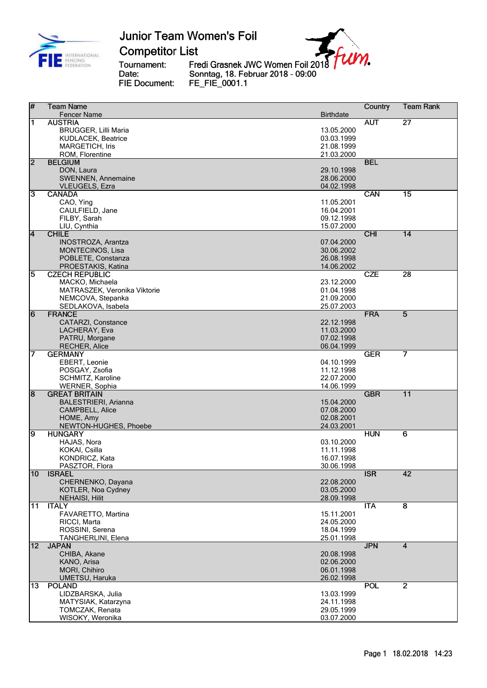

**Competitor List** 

Tournament: Date: FIE Document: Fredi Grasnek JWC Women Foil 2018<br>Sonntag, 18. Februar 2018 - 09:00<br>FE\_FIE\_0001.1

| $\overline{H}$          | <b>Team Name</b>                          |                          | Country    | <b>Team Rank</b>        |
|-------------------------|-------------------------------------------|--------------------------|------------|-------------------------|
|                         | <b>Fencer Name</b>                        | <b>Birthdate</b>         |            |                         |
| 1                       | <b>AUSTRIA</b>                            |                          | <b>AUT</b> | $\overline{27}$         |
|                         | <b>BRUGGER, Lilli Maria</b>               | 13.05.2000               |            |                         |
|                         | KUDLACEK, Beatrice                        | 03.03.1999               |            |                         |
|                         | <b>MARGETICH, Iris</b>                    | 21.08.1999               |            |                         |
|                         | ROM, Florentine                           | 21.03.2000               |            |                         |
| $\overline{2}$          | <b>BELGIUM</b>                            |                          | <b>BEL</b> |                         |
|                         | DON, Laura                                | 29.10.1998               |            |                         |
|                         | SWENNEN, Annemaine                        | 28.06.2000               |            |                         |
|                         | <b>VLEUGELS, Ezra</b>                     | 04.02.1998               |            |                         |
| 3                       | <b>CANADA</b>                             |                          | CAN        | $\overline{15}$         |
|                         | CAO, Ying                                 | 11.05.2001               |            |                         |
|                         | CAULFIELD, Jane                           | 16.04.2001               |            |                         |
|                         | FILBY, Sarah                              | 09.12.1998               |            |                         |
|                         | LIU, Cynthia                              | 15.07.2000               |            |                         |
| $\overline{\mathbf{4}}$ | <b>CHILE</b><br><b>INOSTROZA, Arantza</b> | 07.04.2000               | <b>CHI</b> | 14                      |
|                         |                                           | 30.06.2002               |            |                         |
|                         | <b>MONTECINOS, Lisa</b>                   | 26.08.1998               |            |                         |
|                         | POBLETE, Constanza<br>PROESTAKIS, Katina  | 14.06.2002               |            |                         |
| 5                       | <b>CZECH REPUBLIC</b>                     |                          | <b>CZE</b> | $\overline{28}$         |
|                         | MACKO, Michaela                           | 23.12.2000               |            |                         |
|                         | MATRASZEK, Veronika Viktorie              | 01.04.1998               |            |                         |
|                         | NEMCOVA, Stepanka                         | 21.09.2000               |            |                         |
|                         | SEDLAKOVA, Isabela                        | 25.07.2003               |            |                         |
| $\overline{6}$          | <b>FRANCE</b>                             |                          | <b>FRA</b> | $\overline{5}$          |
|                         | CATARZI, Constance                        | 22.12.1998               |            |                         |
|                         | LACHERAY, Eva                             | 11.03.2000               |            |                         |
|                         | PATRU, Morgane                            | 07.02.1998               |            |                         |
|                         | <b>RECHER, Alice</b>                      | 06.04.1999               |            |                         |
| 7                       | <b>GERMANY</b>                            |                          | <b>GER</b> | 7                       |
|                         | EBERT, Leonie                             | 04.10.1999               |            |                         |
|                         | POSGAY, Zsofia                            | 11.12.1998               |            |                         |
|                         | SCHMITZ, Karoline                         | 22.07.2000               |            |                         |
|                         | <b>WERNER, Sophia</b>                     | 14.06.1999               |            |                         |
| $\overline{8}$          | <b>GREAT BRITAIN</b>                      |                          | <b>GBR</b> | $\overline{11}$         |
|                         | <b>BALESTRIERI, Arianna</b>               | 15.04.2000               |            |                         |
|                         | CAMPBELL, Alice                           | 07.08.2000               |            |                         |
|                         | HOME, Amy                                 | 02.08.2001               |            |                         |
|                         | NEWTON-HUGHES, Phoebe                     | 24.03.2001               |            |                         |
| 9                       | <b>HUNGARY</b>                            |                          | <b>HUN</b> | 6                       |
|                         | HAJAS, Nora                               | 03.10.2000               |            |                         |
|                         | KOKAI, Csilla                             | 11.11.1998               |            |                         |
|                         | KONDRICZ, Kata                            | 16.07.1998               |            |                         |
|                         | PASZTOR, Flora                            | 30.06.1998               |            |                         |
| $\overline{10}$         | <b>ISRAEL</b>                             |                          | <b>ISR</b> | $\overline{42}$         |
|                         | CHERNENKO, Dayana                         | 22.08.2000               |            |                         |
|                         | KOTLER, Noa Cydney                        | 03.05.2000               |            |                         |
|                         | <b>NEHAISI, Hilit</b>                     | 28.09.1998               |            | $\overline{\mathbf{8}}$ |
| 11                      | <b>ITALY</b>                              |                          | <b>ITA</b> |                         |
|                         | FAVARETTO, Martina                        | 15.11.2001<br>24.05.2000 |            |                         |
|                         | RICCI, Marta                              |                          |            |                         |
|                         | ROSSINI, Serena                           | 18.04.1999<br>25.01.1998 |            |                         |
| 12                      | TANGHERLINI, Elena<br><b>JAPAN</b>        |                          | <b>JPN</b> | $\overline{4}$          |
|                         | CHIBA, Akane                              | 20.08.1998               |            |                         |
|                         | KANO, Arisa                               | 02.06.2000               |            |                         |
|                         | MORI, Chihiro                             | 06.01.1998               |            |                         |
|                         | UMETSU, Haruka                            | 26.02.1998               |            |                         |
| 13                      | <b>POLAND</b>                             |                          | <b>POL</b> | $\overline{2}$          |
|                         | LIDZBARSKA, Julia                         | 13.03.1999               |            |                         |
|                         | MATYSIAK, Katarzyna                       | 24.11.1998               |            |                         |
|                         | TOMCZAK, Renata                           | 29.05.1999               |            |                         |
|                         | WISOKY, Weronika                          | 03.07.2000               |            |                         |
|                         |                                           |                          |            |                         |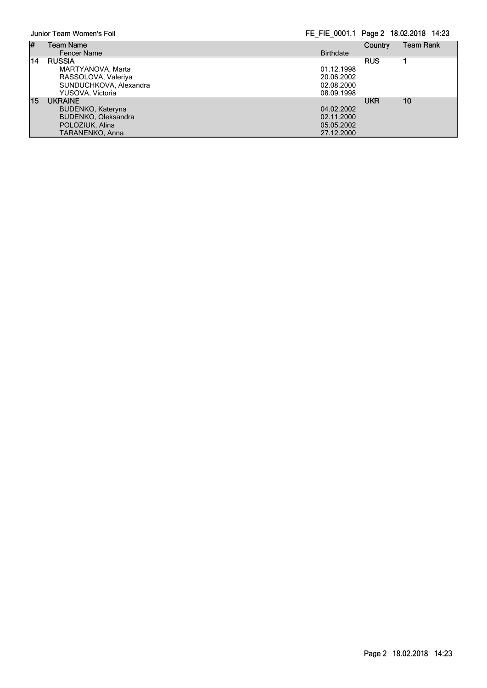Junior Team Women's Foil FE\_FIE\_0001.1 Page 2 18.02.2018 14:23

| #  | Team Name              |                  | Country    | Team Rank |
|----|------------------------|------------------|------------|-----------|
|    | <b>Fencer Name</b>     | <b>Birthdate</b> |            |           |
| 14 | <b>RUSSIA</b>          |                  | <b>RUS</b> |           |
|    | MARTYANOVA, Marta      | 01.12.1998       |            |           |
|    | RASSOLOVA, Valeriya    | 20.06.2002       |            |           |
|    | SUNDUCHKOVA, Alexandra | 02.08.2000       |            |           |
|    | YUSOVA, Victoria       | 08.09.1998       |            |           |
| 15 | <b>UKRAINE</b>         |                  | UKR        | 10        |
|    | BUDENKO, Kateryna      | 04.02.2002       |            |           |
|    | BUDENKO, Oleksandra    | 02.11.2000       |            |           |
|    | POLOZIUK, Alina        | 05.05.2002       |            |           |
|    | TARANENKO, Anna        | 27.12.2000       |            |           |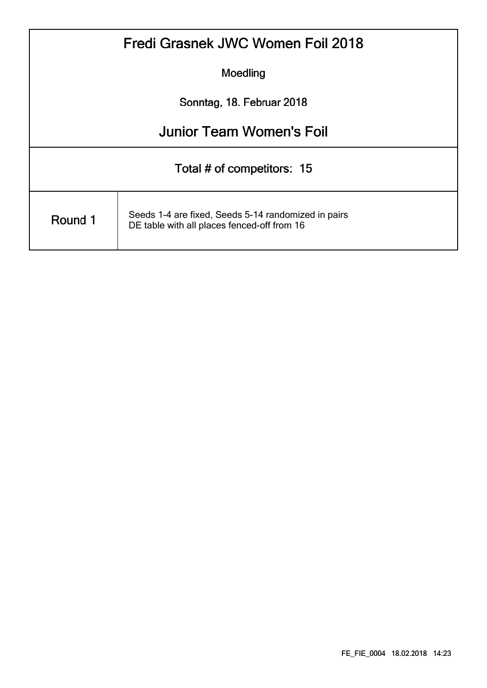| Fredi Grasnek JWC Women Foil 2018 |                                                                                                    |  |  |  |  |  |
|-----------------------------------|----------------------------------------------------------------------------------------------------|--|--|--|--|--|
| Moedling                          |                                                                                                    |  |  |  |  |  |
| Sonntag, 18. Februar 2018         |                                                                                                    |  |  |  |  |  |
|                                   | <b>Junior Team Women's Foil</b>                                                                    |  |  |  |  |  |
| Total # of competitors: 15        |                                                                                                    |  |  |  |  |  |
| Round 1                           | Seeds 1-4 are fixed, Seeds 5-14 randomized in pairs<br>DE table with all places fenced-off from 16 |  |  |  |  |  |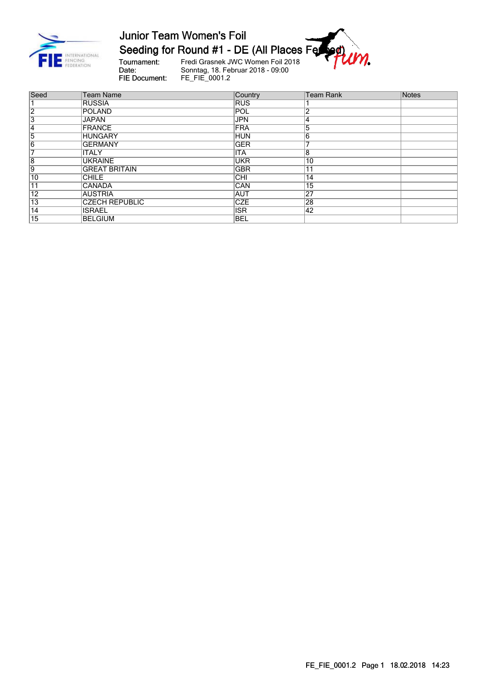

Junior Team Women's Foil<br>Seeding for Round #1 - DE (All Places Ferrer 1941)

Tournament:<br>Date: FIE Document:

Fredi Grasnek JWC Women Foil 2018<br>Sonntag, 18. Februar 2018 - 09:00<br>FE\_FIE\_0001.2

| Seed            | <b>Team Name</b>      | Country    | <b>Team Rank</b> | Notes |
|-----------------|-----------------------|------------|------------------|-------|
|                 | <b>RUSSIA</b>         | <b>RUS</b> |                  |       |
| 2               | POLAND                | POL        | $\Omega$         |       |
| 3               | <b>JAPAN</b>          | <b>JPN</b> | 14               |       |
| 14              | FRANCE                | <b>FRA</b> | 15               |       |
| 5               | <b>HUNGARY</b>        | <b>HUN</b> | 6                |       |
| $\overline{6}$  | <b>GERMANY</b>        | <b>GER</b> |                  |       |
| 7               | <b>ITALY</b>          | <b>ITA</b> | 8                |       |
| $\overline{8}$  | <b>UKRAINE</b>        | <b>UKR</b> | $\overline{10}$  |       |
| 9               | <b>GREAT BRITAIN</b>  | <b>GBR</b> | 11               |       |
| 10              | <b>CHILE</b>          | <b>CHI</b> | $\overline{14}$  |       |
| $\overline{11}$ | <b>CANADA</b>         | <b>CAN</b> | 15               |       |
| $\overline{12}$ | <b>AUSTRIA</b>        | <b>AUT</b> | $\overline{27}$  |       |
| $\overline{13}$ | <b>CZECH REPUBLIC</b> | <b>CZE</b> | 28               |       |
| 14              | <b>ISRAEL</b>         | <b>ISR</b> | 42               |       |
| 15              | BELGIUM               | <b>BEL</b> |                  |       |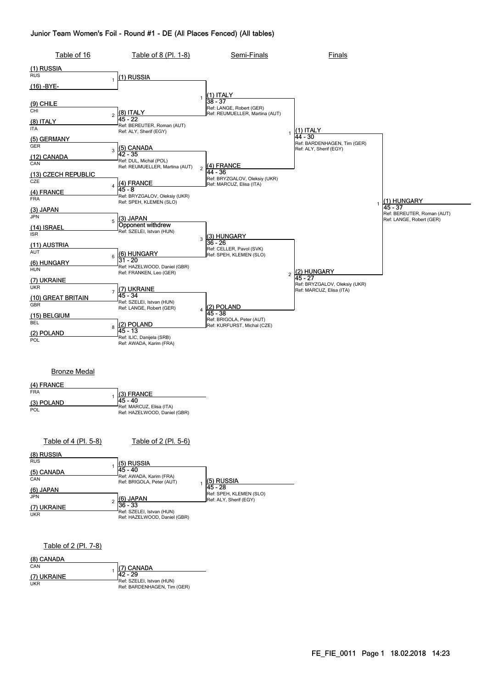#### Junior Team Women's Foil - Round #1 - DE (All Places Fenced) (All tables)



| (8) RUSSIA  |                                                           |                                                   |
|-------------|-----------------------------------------------------------|---------------------------------------------------|
| <b>RUS</b>  | (5) RUSSIA                                                |                                                   |
| (5) CANADA  | 145 - 40                                                  |                                                   |
| CAN         | Ref: AWADA, Karim (FRA)<br>Ref: BRIGOLA, Peter (AUT)      | (5) RUSSIA                                        |
| (6) JAPAN   |                                                           | 145 - 28                                          |
| <b>JPN</b>  | (6) JAPAN                                                 | Ref: SPEH, KLEMEN (SLO)<br>Ref: ALY, Sherif (EGY) |
| (7) UKRAINE | 136 - 33                                                  |                                                   |
| <b>UKR</b>  | Ref: SZELEI, Istvan (HUN)<br>Ref: HAZELWOOD, Daniel (GBR) |                                                   |

#### Table of 2 (Pl. 7-8)

| (8) CANADA  |                                                          |
|-------------|----------------------------------------------------------|
| CAN         | (7) CANADA                                               |
| (7) UKRAINE | 142 - 29                                                 |
| UKR         | Ref: SZELEI, Istvan (HUN)<br>Ref: BARDENHAGEN, Tim (GER) |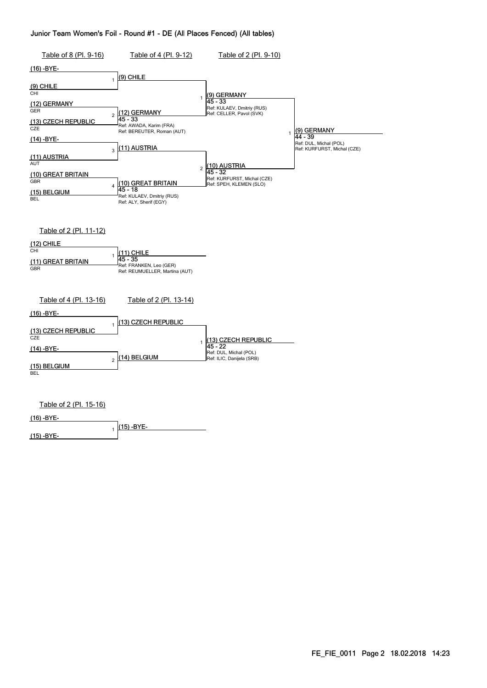#### Junior Team Women's Foil - Round #1 - DE (All Places Fenced) (All tables)

| Table of 8 (Pl. 9-16)                                                                                                                                                                                | Table of 4 (Pl. 9-12)                                                                                                                                                                                                                             | Table of 2 (Pl. 9-10)                                                                                                                                                                                           |                                                                                   |
|------------------------------------------------------------------------------------------------------------------------------------------------------------------------------------------------------|---------------------------------------------------------------------------------------------------------------------------------------------------------------------------------------------------------------------------------------------------|-----------------------------------------------------------------------------------------------------------------------------------------------------------------------------------------------------------------|-----------------------------------------------------------------------------------|
| (16) -BYE-                                                                                                                                                                                           |                                                                                                                                                                                                                                                   |                                                                                                                                                                                                                 |                                                                                   |
| <u>(9) CHILE</u><br>CHI<br>(12) GERMANY<br><b>GER</b><br>(13) CZECH REPUBLIC<br>CZE<br>$(14) - BYE-$<br>(11) AUSTRIA<br><b>AUT</b><br><u>(10) GREAT BRITAIN</u><br>GBR<br>(15) BELGIUM<br><b>BEL</b> | (9) CHILE<br>$\mathbf{1}$<br>12) GERMANY<br>$\overline{c}$<br>45 - 33<br>Ref: AWADA, Karim (FRA)<br>Ref: BEREUTER, Roman (AUT)<br>[11) AUSTRIA<br>3<br>(10) GREAT BRITAIN<br>4<br>45 - 18<br>Ref: KULAEV, Dmitriy (RUS)<br>Ref: ALY, Sherif (EGY) | <u>(9) GERMANY</u><br>1<br>45 - 33<br>Ref: KULAEV, Dmitriy (RUS)<br>Ref: CELLER, Pavol (SVK)<br>1<br><u>(10) AUSTRIA</u><br>$\overline{c}$<br>45 - 32<br>Ref: KURFURST, Michal (CZE)<br>Ref: SPEH, KLEMEN (SLO) | (9) GERMANY<br>$44 - 39$<br>Ref: DUL, Michal (POL)<br>Ref: KURFURST, Michal (CZE) |
| Table of 2 (Pl. 11-12)<br>(12) CHILE<br>CHI<br>(11) GREAT BRITAIN<br><b>GBR</b>                                                                                                                      | (11) CHILE<br>$45 - 35$<br>Ref: FRANKEN, Leo (GER)<br>Ref: REUMUELLER, Martina (AUT)                                                                                                                                                              |                                                                                                                                                                                                                 |                                                                                   |
| Table of 4 (Pl. 13-16)<br>(16) -BYE-<br>(13) CZECH REPUBLIC<br>CZE<br>(14) -BYE-<br>(15) BELGIUM<br><b>BEL</b>                                                                                       | Table of 2 (Pl. 13-14)<br>13) CZECH REPUBLIC<br>1<br>(14) BELGIUM<br>$\overline{2}$                                                                                                                                                               | (13) CZECH REPUBLIC<br>1<br>45 - 22<br>Ref: DUL, Michal (POL)<br>Ref: ILIC, Danijela (SRB)                                                                                                                      |                                                                                   |
| Table of 2 (Pl. 15-16)<br>(16) -BYE-<br><u>(15) -BYE-</u>                                                                                                                                            | 15) -BYE-<br>1                                                                                                                                                                                                                                    |                                                                                                                                                                                                                 |                                                                                   |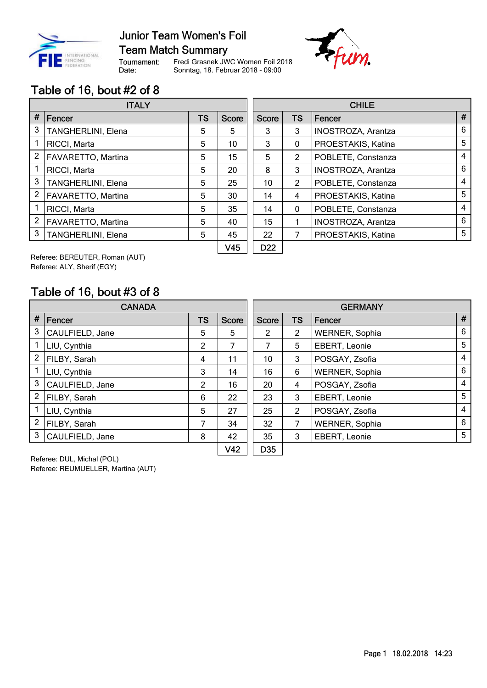

**Team Match Summary** 

Tournament: Date:

Fredi Grasnek JWC Women Foil 2018 Sonntag, 18. Februar 2018 - 09:00



### Table of 16, bout #2 of 8

|                | <b>ITALY</b>       |           |                 |                 | <b>CHILE</b> |                    |   |  |
|----------------|--------------------|-----------|-----------------|-----------------|--------------|--------------------|---|--|
| #              | Fencer             | <b>TS</b> | <b>Score</b>    | Score           | <b>TS</b>    | Fencer             | # |  |
| 3              | TANGHERLINI, Elena | 5         | 5               | 3               | 3            | INOSTROZA, Arantza | 6 |  |
| 1              | RICCI, Marta       | 5         | 10              | 3               | 0            | PROESTAKIS, Katina | 5 |  |
| 2              | FAVARETTO, Martina | 5         | 15              | 5               | 2            | POBLETE, Constanza | 4 |  |
|                | RICCI, Marta       | 5         | 20              | 8               | 3            | INOSTROZA, Arantza | 6 |  |
| 3              | TANGHERLINI, Elena | 5         | 25              | 10              | 2            | POBLETE, Constanza | 4 |  |
| 2              | FAVARETTO, Martina | 5         | 30              | 14              | 4            | PROESTAKIS, Katina | 5 |  |
|                | RICCI, Marta       | 5         | 35              | 14              | $\mathbf{0}$ | POBLETE, Constanza | 4 |  |
| $\overline{2}$ | FAVARETTO, Martina | 5         | 40              | 15              |              | INOSTROZA, Arantza | 6 |  |
| 3              | TANGHERLINI, Elena | 5         | 45              | 22              |              | PROESTAKIS, Katina | 5 |  |
|                |                    |           | V <sub>45</sub> | D <sub>22</sub> |              |                    |   |  |

Referee: BEREUTER, Roman (AUT) Referee: ALY, Sherif (EGY)

#### Table of 16, bout #3 of 8

| <b>CANADA</b>  |                 |           |                 | <b>GERMANY</b> |           |                       |                |
|----------------|-----------------|-----------|-----------------|----------------|-----------|-----------------------|----------------|
| $\pmb{\#}$     | Fencer          | <b>TS</b> | Score           | <b>Score</b>   | <b>TS</b> | l Fencer              | #              |
| 3              | CAULFIELD, Jane | 5         | 5               | 2              | 2         | WERNER, Sophia        | 6              |
|                | LIU, Cynthia    | 2         | 7               | 7              | 5         | EBERT, Leonie         | 5              |
| $\overline{2}$ | FILBY, Sarah    | 4         | 11              | 10             | 3         | POSGAY, Zsofia        | 4              |
|                | LIU, Cynthia    | 3         | 14              | 16             | 6         | <b>WERNER, Sophia</b> | 6              |
| 3              | CAULFIELD, Jane | 2         | 16              | 20             | 4         | POSGAY, Zsofia        | 4              |
| $\overline{2}$ | FILBY, Sarah    | 6         | 22              | 23             | 3         | EBERT, Leonie         | 5              |
|                | LIU, Cynthia    | 5         | 27              | 25             | 2         | POSGAY, Zsofia        | $\overline{4}$ |
| $\overline{2}$ | FILBY, Sarah    | 7         | 34              | 32             | 7         | WERNER, Sophia        | 6              |
| 3              | CAULFIELD, Jane | 8         | 42              | 35             | 3         | EBERT, Leonie         | 5              |
|                |                 |           | V <sub>42</sub> | D35            |           |                       |                |

Referee: DUL, Michal (POL) Referee: REUMUELLER, Martina (AUT)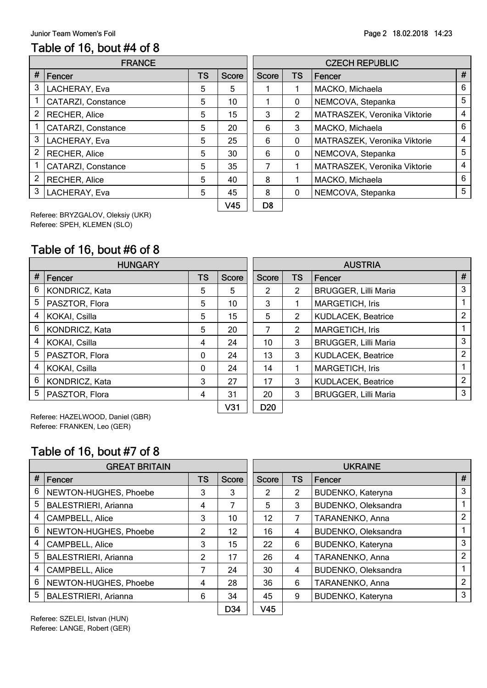#### Table of 16, bout #4 of 8

|                | <b>FRANCE</b>        |    |              |              |                | <b>CZECH REPUBLIC</b>        |   |
|----------------|----------------------|----|--------------|--------------|----------------|------------------------------|---|
| #              | Fencer               | TS | <b>Score</b> | <b>Score</b> | <b>TS</b>      | Fencer                       | Ħ |
| 3              | LACHERAY, Eva        | 5  | 5            |              |                | MACKO, Michaela              | 6 |
|                | CATARZI, Constance   | 5  | 10           |              | $\mathbf{0}$   | NEMCOVA, Stepanka            | 5 |
| 2              | <b>RECHER, Alice</b> | 5  | 15           | 3            | $\overline{2}$ | MATRASZEK, Veronika Viktorie | 4 |
|                | CATARZI, Constance   | 5  | 20           | 6            | 3              | MACKO, Michaela              | 6 |
| 3              | LACHERAY, Eva        | 5  | 25           | 6            | $\mathbf{0}$   | MATRASZEK, Veronika Viktorie | 4 |
| $\overline{2}$ | <b>RECHER, Alice</b> | 5  | 30           | 6            | $\mathbf{0}$   | NEMCOVA, Stepanka            | 5 |
|                | CATARZI, Constance   | 5  | 35           |              |                | MATRASZEK, Veronika Viktorie | 4 |
| $\mathcal{P}$  | <b>RECHER, Alice</b> | 5  | 40           | 8            |                | MACKO, Michaela              | 6 |
| 3              | LACHERAY, Eva        | 5  | 45           | 8            | $\Omega$       | NEMCOVA, Stepanka            | 5 |
|                |                      |    | $\sqrt{45}$  | no.          |                |                              |   |

|              | <b>CZECH REPUBLIC</b> |           |                              |   |  |  |
|--------------|-----------------------|-----------|------------------------------|---|--|--|
| <b>Score</b> | <b>Score</b>          | <b>TS</b> | Fencer                       | # |  |  |
| 5            |                       |           | MACKO, Michaela              | 6 |  |  |
| 10           |                       | 0         | NEMCOVA, Stepanka            | 5 |  |  |
| 15           | 3                     | 2         | MATRASZEK, Veronika Viktorie | 4 |  |  |
| 20           | 6                     | 3         | MACKO, Michaela              | 6 |  |  |
| 25           | 6                     | O         | MATRASZEK, Veronika Viktorie | 4 |  |  |
| 30           | 6                     | 0         | NEMCOVA, Stepanka            | 5 |  |  |
| 35           | 7                     |           | MATRASZEK, Veronika Viktorie | 4 |  |  |
| 40           | 8                     |           | MACKO, Michaela              | 6 |  |  |
| 45           | 8                     | 0         | NEMCOVA, Stepanka            | 5 |  |  |
| V45          | D8                    |           |                              |   |  |  |

Referee: BRYZGALOV, Oleksiy (UKR) Referee: SPEH, KLEMEN (SLO)

### Table of 16, bout #6 of 8

|      | <b>HUNGARY</b> |           |                 |                 | <b>AUSTRIA</b> |                             |                |
|------|----------------|-----------|-----------------|-----------------|----------------|-----------------------------|----------------|
| $\#$ | Fencer         | <b>TS</b> | <b>Score</b>    | <b>Score</b>    | <b>TS</b>      | Fencer                      | #              |
| 6    | KONDRICZ, Kata | 5         | 5               | 2               | $\overline{2}$ | <b>BRUGGER, Lilli Maria</b> | 3              |
| 5    | PASZTOR, Flora | 5         | 10              | 3               |                | <b>MARGETICH, Iris</b>      |                |
| 4    | KOKAI, Csilla  | 5         | 15              | 5               | $\overline{2}$ | <b>KUDLACEK, Beatrice</b>   | $\overline{2}$ |
| 6    | KONDRICZ, Kata | 5         | 20              | 7               | 2              | <b>MARGETICH, Iris</b>      |                |
| 4    | KOKAI, Csilla  | 4         | 24              | 10              | 3              | <b>BRUGGER, Lilli Maria</b> | 3              |
| 5    | PASZTOR, Flora | 0         | 24              | 13              | 3              | <b>KUDLACEK, Beatrice</b>   | $\overline{2}$ |
| 4    | KOKAI, Csilla  | 0         | 24              | 14              |                | <b>MARGETICH, Iris</b>      |                |
| 6    | KONDRICZ, Kata | 3         | 27              | 17              | 3              | <b>KUDLACEK, Beatrice</b>   | $\mathcal{P}$  |
| 5    | PASZTOR, Flora | 4         | 31              | 20              | 3              | BRUGGER, Lilli Maria        | 3              |
|      |                |           | V <sub>31</sub> | D <sub>20</sub> |                |                             |                |

Referee: HAZELWOOD, Daniel (GBR) Referee: FRANKEN, Leo (GER)

#### Table of 16, bout #7 of 8

|   | <b>GREAT BRITAIN</b>        |    |              | <b>UKRAINE</b>  |    |                          |                |
|---|-----------------------------|----|--------------|-----------------|----|--------------------------|----------------|
| # | Fencer                      | TS | <b>Score</b> | <b>Score</b>    | TS | Fencer                   | #              |
| 6 | NEWTON-HUGHES, Phoebe       | 3  | 3            | 2               | 2  | <b>BUDENKO, Kateryna</b> | 3              |
| 5 | <b>BALESTRIERI, Arianna</b> | 4  | 7            | 5               | 3  | BUDENKO, Oleksandra      |                |
| 4 | CAMPBELL, Alice             | 3  | 10           | 12              | 7  | TARANENKO, Anna          | $\overline{2}$ |
| 6 | NEWTON-HUGHES, Phoebe       | 2  | 12           | 16              | 4  | BUDENKO, Oleksandra      |                |
| 4 | CAMPBELL, Alice             | 3  | 15           | 22              | 6  | BUDENKO, Kateryna        | 3              |
| 5 | <b>BALESTRIERI, Arianna</b> | 2  | 17           | 26              | 4  | TARANENKO, Anna          | $\mathcal{P}$  |
| 4 | <b>CAMPBELL, Alice</b>      | 7  | 24           | 30              | 4  | BUDENKO, Oleksandra      |                |
| 6 | NEWTON-HUGHES, Phoebe       | 4  | 28           | 36              | 6  | TARANENKO, Anna          | $\mathcal{P}$  |
| 5 | <b>BALESTRIERI, Arianna</b> | 6  | 34           | 45              | 9  | BUDENKO, Kateryna        | 3              |
|   |                             |    | D34          | V <sub>45</sub> |    |                          |                |

Referee: SZELEI, Istvan (HUN) Referee: LANGE, Robert (GER)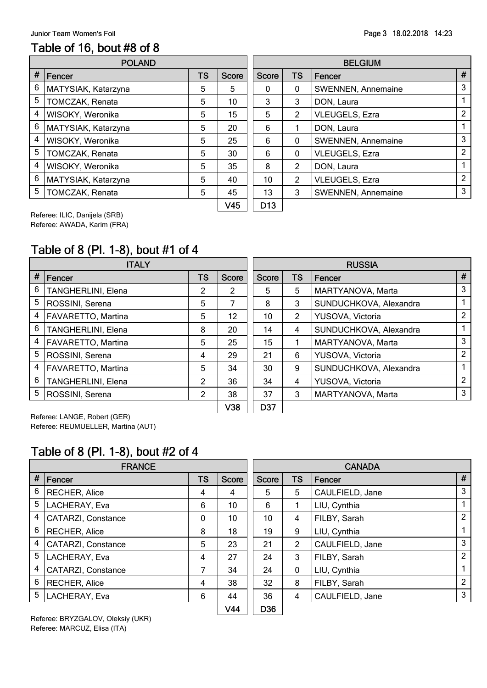#### Page 3 18.02.2018 14:23

#### Table of 16, bout #8 of 8

|      | <b>POLAND</b>       |           |              | <b>BELGIUM</b> |                |                           |   |  |
|------|---------------------|-----------|--------------|----------------|----------------|---------------------------|---|--|
| $\#$ | Fencer              | <b>TS</b> | <b>Score</b> | <b>Score</b>   | <b>TS</b>      | Fencer                    | Ħ |  |
| 6    | MATYSIAK, Katarzyna | 5         | 5            | $\Omega$       | 0              | SWENNEN, Annemaine        | 3 |  |
| 5    | TOMCZAK, Renata     | 5         | 10           | 3              | 3              | DON, Laura                |   |  |
| 4    | WISOKY, Weronika    | 5         | 15           | 5              | $\overline{2}$ | VLEUGELS, Ezra            | 2 |  |
| 6    | MATYSIAK, Katarzyna | 5         | 20           | 6              |                | DON, Laura                |   |  |
| 4    | WISOKY, Weronika    | 5         | 25           | 6              | $\mathbf{0}$   | SWENNEN, Annemaine        | 3 |  |
| 5    | TOMCZAK, Renata     | 5         | 30           | 6              | $\mathbf{0}$   | <b>VLEUGELS, Ezra</b>     | 2 |  |
| 4    | WISOKY, Weronika    | 5         | 35           | 8              | $\overline{2}$ | DON, Laura                |   |  |
| 6    | MATYSIAK, Katarzyna | 5         | 40           | 10             | $\overline{2}$ | VLEUGELS, Ezra            | 2 |  |
| 5    | TOMCZAK, Renata     | 5         | 45           | 13             | 3              | <b>SWENNEN, Annemaine</b> | 3 |  |
|      |                     |           | 111F         | <b>D</b>       |                |                           |   |  |

|              |                 |           | <b>BELGIUM</b>        |   |
|--------------|-----------------|-----------|-----------------------|---|
| <b>Score</b> | <b>Score</b>    | <b>TS</b> | Fencer                | # |
| 5            | 0               | 0         | SWENNEN, Annemaine    | 3 |
| 10           | 3               | 3         | DON, Laura            |   |
| 15           | 5               | 2         | VLEUGELS, Ezra        | 2 |
| 20           | 6               |           | DON, Laura            |   |
| 25           | 6               | 0         | SWENNEN, Annemaine    | 3 |
| 30           | 6               | 0         | VLEUGELS, Ezra        | 2 |
| 35           | 8               | 2         | DON, Laura            | 1 |
| 40           | 10              | 2         | <b>VLEUGELS, Ezra</b> | 2 |
| 45           | 13              | 3         | SWENNEN, Annemaine    | 3 |
| V45          | D <sub>13</sub> |           |                       |   |

Referee: ILIC, Danijela (SRB) Referee: AWADA, Karim (FRA)

# Table of 8 (Pl. 1-8), bout #1 of 4

|                | <b>ITALY</b>              |           |              | <b>RUSSIA</b> |                |                        |                |  |
|----------------|---------------------------|-----------|--------------|---------------|----------------|------------------------|----------------|--|
| #              | <b>Fencer</b>             | <b>TS</b> | <b>Score</b> | <b>Score</b>  | <b>TS</b>      | Fencer                 | #              |  |
| 6              | TANGHERLINI, Elena        | 2         | 2            | 5             | 5              | MARTYANOVA, Marta      | 3              |  |
| 5              | ROSSINI, Serena           | 5         | 7            | 8             | 3              | SUNDUCHKOVA, Alexandra |                |  |
| 4              | <b>FAVARETTO, Martina</b> | 5         | 12           | 10            | $\overline{2}$ | YUSOVA, Victoria       | 2              |  |
| 6              | TANGHERLINI, Elena        | 8         | 20           | 14            | 4              | SUNDUCHKOVA, Alexandra |                |  |
| 4              | FAVARETTO, Martina        | 5         | 25           | 15            |                | MARTYANOVA, Marta      | 3              |  |
| 5              | ROSSINI, Serena           | 4         | 29           | 21            | 6              | YUSOVA, Victoria       | $\overline{2}$ |  |
| 4              | FAVARETTO, Martina        | 5         | 34           | 30            | 9              | SUNDUCHKOVA, Alexandra |                |  |
| 6              | TANGHERLINI, Elena        | 2         | 36           | 34            | 4              | YUSOVA, Victoria       | $\overline{2}$ |  |
| 5 <sup>5</sup> | ROSSINI, Serena           | 2         | 38           | 37            | 3              | MARTYANOVA, Marta      | 3              |  |
|                |                           |           | V38          | D37           |                |                        |                |  |

Referee: LANGE, Robert (GER) Referee: REUMUELLER, Martina (AUT)

#### Table of 8 (Pl. 1-8), bout #2 of 4

|   | <b>FRANCE</b>        |           |       |              |                | <b>CANADA</b>   |   |  |  |  |
|---|----------------------|-----------|-------|--------------|----------------|-----------------|---|--|--|--|
| # | Fencer               | <b>TS</b> | Score | <b>Score</b> | <b>TS</b>      | Fencer          | # |  |  |  |
| 6 | <b>RECHER, Alice</b> | 4         | 4     | 5            | 5              | CAULFIELD, Jane | 3 |  |  |  |
| 5 | LACHERAY, Eva        | 6         | 10    | 6            |                | LIU, Cynthia    |   |  |  |  |
| 4 | CATARZI, Constance   | 0         | 10    | 10           | 4              | FILBY, Sarah    | 2 |  |  |  |
| 6 | <b>RECHER, Alice</b> | 8         | 18    | 19           | 9              | LIU, Cynthia    |   |  |  |  |
| 4 | CATARZI, Constance   | 5         | 23    | 21           | $\overline{2}$ | CAULFIELD, Jane | 3 |  |  |  |
| 5 | LACHERAY, Eva        | 4         | 27    | 24           | 3              | FILBY, Sarah    | 2 |  |  |  |
| 4 | CATARZI, Constance   | 7         | 34    | 24           | 0              | LIU, Cynthia    |   |  |  |  |
| 6 | <b>RECHER, Alice</b> | 4         | 38    | 32           | 8              | FILBY, Sarah    | 2 |  |  |  |
| 5 | LACHERAY, Eva        | 6         | 44    | 36           | 4              | CAULFIELD, Jane | 3 |  |  |  |
|   |                      |           |       |              |                |                 |   |  |  |  |

Referee: BRYZGALOV, Oleksiy (UKR) Referee: MARCUZ, Elisa (ITA)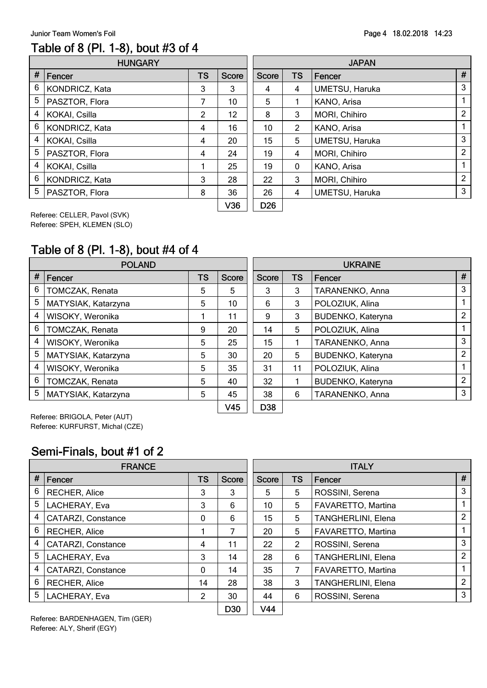#### Table of 8 (Pl. 1-8), bout #3 of 4

|   | <b>HUNGARY</b> |                |                  | <b>JAPAN</b> |                |                |   |  |
|---|----------------|----------------|------------------|--------------|----------------|----------------|---|--|
| # | Fencer         | <b>TS</b>      | <b>Score</b>     | <b>Score</b> | <b>TS</b>      | Fencer         | Ħ |  |
| 6 | KONDRICZ, Kata | 3              | 3                | 4            | 4              | UMETSU, Haruka | 3 |  |
| 5 | PASZTOR, Flora | 7              | 10               | 5            |                | KANO, Arisa    |   |  |
| 4 | KOKAI, Csilla  | $\overline{2}$ | 12               | 8            | 3              | MORI, Chihiro  | 2 |  |
| 6 | KONDRICZ, Kata | 4              | 16               | 10           | $\overline{2}$ | KANO, Arisa    |   |  |
| 4 | KOKAI, Csilla  | 4              | 20               | 15           | 5              | UMETSU, Haruka | 3 |  |
| 5 | PASZTOR, Flora | 4              | 24               | 19           | 4              | MORI, Chihiro  | 2 |  |
| 4 | KOKAI, Csilla  |                | 25               | 19           | $\mathbf{0}$   | KANO, Arisa    |   |  |
| 6 | KONDRICZ, Kata | 3              | 28               | 22           | 3              | MORI, Chihiro  | 2 |  |
| 5 | PASZTOR, Flora | 8              | 36               | 26           | 4              | UMETSU, Haruka | 3 |  |
|   |                |                | 100 <sub>0</sub> | <b>DOO</b>   |                |                |   |  |

|              |                 |           | <b>JAPAN</b>   |   |
|--------------|-----------------|-----------|----------------|---|
| <b>Score</b> | <b>Score</b>    | <b>TS</b> | Fencer         | # |
| 3            | 4               | 4         | UMETSU, Haruka | 3 |
| 10           | 5               |           | KANO, Arisa    | 1 |
| 12           | 8               | 3         | MORI, Chihiro  | 2 |
| 16           | 10              | 2         | KANO, Arisa    | 1 |
| 20           | 15              | 5         | UMETSU, Haruka | 3 |
| 24           | 19              | 4         | MORI, Chihiro  | 2 |
| 25           | 19              | 0         | KANO, Arisa    | 1 |
| 28           | 22              | 3         | MORI, Chihiro  | 2 |
| 36           | 26              | 4         | UMETSU, Haruka | 3 |
| V36          | D <sub>26</sub> |           |                |   |

Referee: CELLER, Pavol (SVK) Referee: SPEH, KLEMEN (SLO)

# Table of 8 (Pl. 1-8), bout #4 of 4

|   | <b>POLAND</b>       |    | <b>UKRAINE</b> |              |           |                          |               |
|---|---------------------|----|----------------|--------------|-----------|--------------------------|---------------|
| # | Fencer              | TS | <b>Score</b>   | <b>Score</b> | <b>TS</b> | <b>Fencer</b>            | #             |
| 6 | TOMCZAK, Renata     | 5  | 5              | 3            | 3         | TARANENKO, Anna          | 3             |
| 5 | MATYSIAK, Katarzyna | 5  | 10             | 6            | 3         | POLOZIUK, Alina          |               |
| 4 | WISOKY, Weronika    |    | 11             | 9            | 3         | <b>BUDENKO, Kateryna</b> | 2             |
| 6 | TOMCZAK, Renata     | 9  | 20             | 14           | 5         | POLOZIUK, Alina          |               |
| 4 | WISOKY, Weronika    | 5  | 25             | 15           |           | TARANENKO, Anna          | 3             |
| 5 | MATYSIAK, Katarzyna | 5  | 30             | 20           | 5         | <b>BUDENKO, Kateryna</b> | 2             |
| 4 | WISOKY, Weronika    | 5  | 35             | 31           | 11        | POLOZIUK, Alina          |               |
| 6 | TOMCZAK, Renata     | 5  | 40             | 32           |           | <b>BUDENKO, Kateryna</b> | $\mathcal{P}$ |
| 5 | MATYSIAK, Katarzyna | 5  | 45             | 38           | 6         | TARANENKO, Anna          | 3             |
|   |                     |    | V45            | D38          |           |                          |               |

Referee: BRIGOLA, Peter (AUT) Referee: KURFURST, Michal (CZE)

#### Semi-Finals, bout #1 of 2

|   | <b>FRANCE</b>             |    |                 | <b>ITALY</b> |    |                           |                |  |
|---|---------------------------|----|-----------------|--------------|----|---------------------------|----------------|--|
| # | Fencer                    | TS | <b>Score</b>    | <b>Score</b> | TS | Fencer                    | #              |  |
| 6 | RECHER, Alice             | 3  | 3               | 5            | 5  | ROSSINI, Serena           | 3              |  |
| 5 | LACHERAY, Eva             | 3  | 6               | 10           | 5  | FAVARETTO, Martina        |                |  |
| 4 | <b>CATARZI, Constance</b> | 0  | 6               | 15           | 5  | TANGHERLINI, Elena        | 2              |  |
| 6 | <b>RECHER, Alice</b>      |    | 7               | 20           | 5  | FAVARETTO, Martina        |                |  |
| 4 | <b>CATARZI, Constance</b> | 4  | 11              | 22           | 2  | ROSSINI, Serena           | 3              |  |
| 5 | LACHERAY, Eva             | 3  | 14              | 28           | 6  | TANGHERLINI, Elena        | 2              |  |
| 4 | CATARZI, Constance        | 0  | 14              | 35           | 7  | FAVARETTO, Martina        | 1.             |  |
| 6 | <b>RECHER, Alice</b>      | 14 | 28              | 38           | 3  | <b>TANGHERLINI, Elena</b> | $\overline{2}$ |  |
| 5 | LACHERAY, Eva             | 2  | 30              | 44           | 6  | ROSSINI, Serena           | 3              |  |
|   | - . - - - - - .           |    | D <sub>30</sub> | V44          |    |                           |                |  |

Referee: BARDENHAGEN, Tim (GER) Referee: ALY, Sherif (EGY)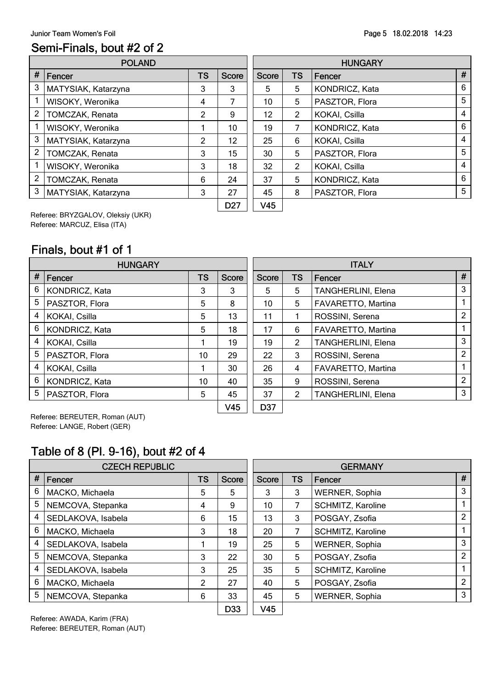### Semi-Finals, bout #2 of 2

|                | <b>POLAND</b>       |           |              | <b>HUNGARY</b> |                |                |   |  |
|----------------|---------------------|-----------|--------------|----------------|----------------|----------------|---|--|
| $\#$           | Fencer              | <b>TS</b> | <b>Score</b> | <b>Score</b>   | <b>TS</b>      | Fencer         | Ħ |  |
| 3              | MATYSIAK, Katarzyna | 3         | 3            | 5              | 5              | KONDRICZ, Kata | 6 |  |
|                | WISOKY, Weronika    | 4         | 7            | 10             | 5              | PASZTOR, Flora | 5 |  |
| $\overline{2}$ | TOMCZAK, Renata     | 2         | 9            | 12             | $\overline{2}$ | KOKAI, Csilla  | 4 |  |
|                | WISOKY, Weronika    |           | 10           | 19             | 7              | KONDRICZ, Kata | 6 |  |
| 3              | MATYSIAK, Katarzyna | 2         | 12           | 25             | 6              | KOKAI, Csilla  | 4 |  |
| 2              | TOMCZAK, Renata     | 3         | 15           | 30             | 5              | PASZTOR, Flora | 5 |  |
|                | WISOKY, Weronika    | 3         | 18           | 32             | $\overline{2}$ | KOKAI, Csilla  | 4 |  |
| $\overline{2}$ | TOMCZAK, Renata     | 6         | 24           | 37             | 5              | KONDRICZ, Kata | 6 |  |
| 3              | MATYSIAK, Katarzyna | 3         | 27           | 45             | 8              | PASZTOR, Flora | 5 |  |
|                |                     |           | <b>DO7</b>   | <b>MAF</b>     |                |                |   |  |

|                 |              |           | <b>HUNGARY</b> |   |
|-----------------|--------------|-----------|----------------|---|
| <b>Score</b>    | <b>Score</b> | <b>TS</b> | Fencer         | # |
| 3               | 5            | 5         | KONDRICZ, Kata | 6 |
| 7               | 10           | 5         | PASZTOR, Flora | 5 |
| 9               | 12           | 2         | KOKAI, Csilla  | 4 |
| 10              | 19           | 7         | KONDRICZ, Kata | 6 |
| 12              | 25           | 6         | KOKAI, Csilla  | 4 |
| 15              | 30           | 5         | PASZTOR, Flora | 5 |
| 18              | 32           | 2         | KOKAI, Csilla  | 4 |
| 24              | 37           | 5         | KONDRICZ, Kata | 6 |
| 27              | 45           | 8         | PASZTOR, Flora | 5 |
| D <sub>27</sub> | V45          |           |                |   |

Referee: BRYZGALOV, Oleksiy (UKR) Referee: MARCUZ, Elisa (ITA)

### Finals, bout #1 of 1

|      | <b>HUNGARY</b> |           | <b>ITALY</b>    |       |               |                    |                |
|------|----------------|-----------|-----------------|-------|---------------|--------------------|----------------|
| $\#$ | Fencer         | <b>TS</b> | Score           | Score | <b>TS</b>     | Fencer             | #              |
| 6    | KONDRICZ, Kata | 3         | 3               | 5     | 5             | TANGHERLINI, Elena | 3              |
| 5    | PASZTOR, Flora | 5         | 8               | 10    | 5             | FAVARETTO, Martina |                |
| 4    | KOKAI, Csilla  | 5         | 13              | 11    |               | ROSSINI, Serena    | 2              |
| 6    | KONDRICZ, Kata | 5         | 18              | 17    | 6             | FAVARETTO, Martina |                |
| 4    | KOKAI, Csilla  |           | 19              | 19    | $\mathcal{P}$ | TANGHERLINI, Elena | 3              |
| 5    | PASZTOR, Flora | 10        | 29              | 22    | 3             | ROSSINI, Serena    | $\overline{2}$ |
| 4    | KOKAI, Csilla  |           | 30              | 26    | 4             | FAVARETTO, Martina |                |
| 6    | KONDRICZ, Kata | 10        | 40              | 35    | 9             | ROSSINI, Serena    | $\overline{2}$ |
| 5    | PASZTOR, Flora | 5         | 45              | 37    | $\mathcal{P}$ | TANGHERLINI, Elena | 3              |
|      |                |           | V <sub>45</sub> | D37   |               |                    |                |

Referee: BEREUTER, Roman (AUT) Referee: LANGE, Robert (GER)

#### Table of 8 (Pl. 9-16), bout #2 of 4

|      | <b>CZECH REPUBLIC</b> |    |              | <b>GERMANY</b>  |           |                       |   |  |
|------|-----------------------|----|--------------|-----------------|-----------|-----------------------|---|--|
| $\#$ | <b>Fencer</b>         | TS | <b>Score</b> | <b>Score</b>    | <b>TS</b> | Fencer                | # |  |
| 6    | MACKO, Michaela       | 5  | 5            | 3               | 3         | <b>WERNER, Sophia</b> | 3 |  |
| 5    | NEMCOVA, Stepanka     | 4  | 9            | 10              | 7         | SCHMITZ, Karoline     |   |  |
| 4    | SEDLAKOVA, Isabela    | 6  | 15           | 13              | 3         | POSGAY, Zsofia        | 2 |  |
| 6    | MACKO, Michaela       | 3  | 18           | 20              |           | SCHMITZ, Karoline     |   |  |
| 4    | SEDLAKOVA, Isabela    |    | 19           | 25              | 5         | WERNER, Sophia        | 3 |  |
| 5    | NEMCOVA, Stepanka     | 3  | 22           | 30              | 5         | POSGAY, Zsofia        | 2 |  |
| 4    | SEDLAKOVA, Isabela    | 3  | 25           | 35              | 5         | SCHMITZ, Karoline     | 1 |  |
| 6    | MACKO, Michaela       | 2  | 27           | 40              | 5         | POSGAY, Zsofia        | 2 |  |
| 5    | NEMCOVA, Stepanka     | 6  | 33           | 45              | 5         | WERNER, Sophia        | 3 |  |
|      |                       |    | D33          | V <sub>45</sub> |           |                       |   |  |

Referee: AWADA, Karim (FRA) Referee: BEREUTER, Roman (AUT)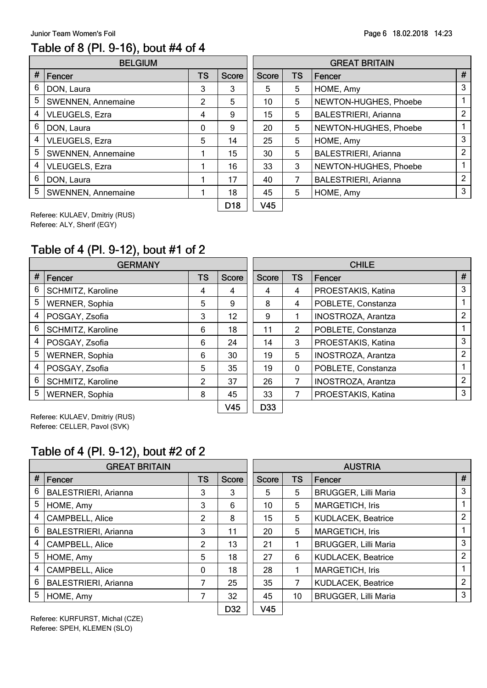#### Table of 8 (Pl. 9-16), bout #4 of 4

|                | <b>BELGIUM</b>            |           |                        | <b>GREAT BRITAIN</b> |           |                             |   |  |
|----------------|---------------------------|-----------|------------------------|----------------------|-----------|-----------------------------|---|--|
| #              | Fencer                    | <b>TS</b> | <b>Score</b>           | <b>Score</b>         | <b>TS</b> | Fencer                      | Ħ |  |
| 6              | DON, Laura                | 3         | 3                      | 5                    | 5         | HOME, Amy                   | 3 |  |
| 5              | SWENNEN, Annemaine        | 2         | 5                      | 10                   | 5         | NEWTON-HUGHES, Phoebe       |   |  |
| 4              | VLEUGELS, Ezra            | 4         | 9                      | 15                   | 5         | <b>BALESTRIERI, Arianna</b> | C |  |
| 6              | DON, Laura                | 0         | 9                      | 20                   | 5         | NEWTON-HUGHES, Phoebe       |   |  |
| $\overline{4}$ | VLEUGELS, Ezra            | 5         | 14                     | 25                   | 5         | HOME, Amy                   | 3 |  |
| 5              | SWENNEN, Annemaine        |           | 15                     | 30                   | 5         | <b>BALESTRIERI, Arianna</b> | 2 |  |
| 4              | VLEUGELS, Ezra            |           | 16                     | 33                   | 3         | NEWTON-HUGHES, Phoebe       |   |  |
| 6              | DON, Laura                |           | 17                     | 40                   | 7         | <b>BALESTRIERI, Arianna</b> | 2 |  |
| 5              | <b>SWENNEN, Annemaine</b> |           | 18                     | 45                   | 5         | HOME, Amy                   | 3 |  |
|                |                           |           | <b>D</b> <sub>10</sub> | <b>VAC</b>           |           |                             |   |  |

|                 |              |           | <b>GREAT BRITAIN</b>        |   |
|-----------------|--------------|-----------|-----------------------------|---|
| Score           | <b>Score</b> | <b>TS</b> | Fencer                      | # |
| 3               | 5            | 5         | HOME, Amy                   | 3 |
| 5               | 10           | 5         | NEWTON-HUGHES, Phoebe       |   |
| 9               | 15           | 5         | <b>BALESTRIERI, Arianna</b> | 2 |
| 9               | 20           | 5         | NEWTON-HUGHES, Phoebe       | 1 |
| 14              | 25           | 5         | HOME, Amy                   | 3 |
| 15              | 30           | 5         | <b>BALESTRIERI, Arianna</b> | 2 |
| 16              | 33           | 3         | NEWTON-HUGHES, Phoebe       | 1 |
| 17              | 40           | 7         | <b>BALESTRIERI, Arianna</b> | 2 |
| 18              | 45           | 5         | HOME, Amy                   | 3 |
| D <sub>18</sub> | V45          |           |                             |   |

Referee: KULAEV, Dmitriy (RUS) Referee: ALY, Sherif (EGY)

#### Table of 4 (Pl. 9-12), bout #1 of 2

|                 | <b>GERMANY</b>        |                |                 | <b>CHILE</b> |           |                           |                |
|-----------------|-----------------------|----------------|-----------------|--------------|-----------|---------------------------|----------------|
| #               | Fencer                | <b>TS</b>      | <b>Score</b>    | <b>Score</b> | <b>TS</b> | Fencer                    | #              |
| 6               | SCHMITZ, Karoline     | 4              | 4               | 4            | 4         | PROESTAKIS, Katina        | 3              |
| 5               | WERNER, Sophia        | 5              | 9               | 8            | 4         | POBLETE, Constanza        |                |
| 4               | POSGAY, Zsofia        | 3              | 12              | 9            |           | <b>INOSTROZA, Arantza</b> | 2              |
| 6               | SCHMITZ, Karoline     | 6              | 18              | 11           | 2         | POBLETE, Constanza        |                |
| 4               | POSGAY, Zsofia        | 6              | 24              | 14           | 3         | PROESTAKIS, Katina        | 3              |
| 5               | WERNER, Sophia        | 6              | 30              | 19           | 5         | <b>INOSTROZA, Arantza</b> | $\overline{2}$ |
| 4               | POSGAY, Zsofia        | 5              | 35              | 19           | 0         | POBLETE, Constanza        |                |
| 6               | SCHMITZ, Karoline     | $\overline{2}$ | 37              | 26           | 7         | <b>INOSTROZA, Arantza</b> | $\overline{2}$ |
| $5\phantom{.0}$ | <b>WERNER, Sophia</b> | 8              | 45              | 33           | 7         | PROESTAKIS, Katina        | 3              |
|                 |                       |                | V <sub>45</sub> | D33          |           |                           |                |

Referee: KULAEV, Dmitriy (RUS) Referee: CELLER, Pavol (SVK)

#### Table of 4 (Pl. 9-12), bout #2 of 2

|   | <b>GREAT BRITAIN</b>        |           |              | <b>AUSTRIA</b>  |           |                             |                |
|---|-----------------------------|-----------|--------------|-----------------|-----------|-----------------------------|----------------|
| # | Fencer                      | <b>TS</b> | <b>Score</b> | Score           | <b>TS</b> | Fencer                      | #              |
| 6 | <b>BALESTRIERI, Arianna</b> | 3         | 3            | 5               | 5         | <b>BRUGGER, Lilli Maria</b> | 3              |
| 5 | HOME, Amy                   | 3         | 6            | 10              | 5         | <b>MARGETICH, Iris</b>      |                |
| 4 | CAMPBELL, Alice             | 2         | 8            | 15              | 5         | <b>KUDLACEK, Beatrice</b>   | $\overline{2}$ |
| 6 | <b>BALESTRIERI, Arianna</b> | 3         | 11           | 20              | 5         | <b>MARGETICH, Iris</b>      |                |
| 4 | <b>CAMPBELL, Alice</b>      | 2         | 13           | 21              |           | <b>BRUGGER, Lilli Maria</b> | 3              |
| 5 | HOME, Amy                   | 5         | 18           | 27              | 6         | <b>KUDLACEK, Beatrice</b>   | $\overline{2}$ |
| 4 | <b>CAMPBELL, Alice</b>      | 0         | 18           | 28              |           | <b>MARGETICH, Iris</b>      |                |
| 6 | <b>BALESTRIERI, Arianna</b> | 7         | 25           | 35              | 7         | <b>KUDLACEK, Beatrice</b>   | $\mathcal{P}$  |
| 5 | HOME, Amy                   | 7         | 32           | 45              | 10        | <b>BRUGGER, Lilli Maria</b> | 3              |
|   |                             |           | D32          | V <sub>45</sub> |           |                             |                |

Referee: KURFURST, Michal (CZE) Referee: SPEH, KLEMEN (SLO)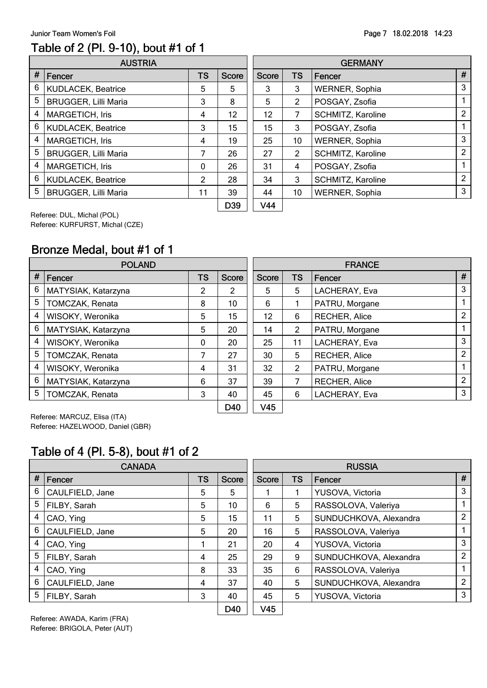#### Table of 2 (Pl. 9-10), bout #1 of 1

|   | <b>AUSTRIA</b>              |              |              | <b>GERMANY</b>     |                |                   |   |  |
|---|-----------------------------|--------------|--------------|--------------------|----------------|-------------------|---|--|
| # | Fencer                      | <b>TS</b>    | <b>Score</b> | <b>Score</b>       | <b>TS</b>      | Fencer            | Ħ |  |
| 6 | KUDLACEK, Beatrice          | 5            | 5            | 3                  | 3              | WERNER, Sophia    | 3 |  |
| 5 | <b>BRUGGER, Lilli Maria</b> | 3            | 8            | 5                  | $\overline{2}$ | POSGAY, Zsofia    |   |  |
| 4 | <b>MARGETICH, Iris</b>      | 4            | 12           | 12                 | 7              | SCHMITZ, Karoline | 2 |  |
| 6 | <b>KUDLACEK, Beatrice</b>   | 3            | 15           | 15                 | 3              | POSGAY, Zsofia    |   |  |
| 4 | <b>MARGETICH, Iris</b>      | 4            | 19           | 25                 | 10             | WERNER, Sophia    | 3 |  |
| 5 | <b>BRUGGER, Lilli Maria</b> | 7            | 26           | 27                 | $\overline{2}$ | SCHMITZ, Karoline | 2 |  |
| 4 | <b>MARGETICH, Iris</b>      | $\mathbf{0}$ | 26           | 31                 | 4              | POSGAY, Zsofia    |   |  |
| 6 | KUDLACEK, Beatrice          | 2            | 28           | 34                 | 3              | SCHMITZ, Karoline | 2 |  |
| 5 | <b>BRUGGER, Lilli Maria</b> | 11           | 39           | 44                 | 10             | WERNER, Sophia    | 3 |  |
|   |                             |              | non.         | <b><i>NIAA</i></b> |                |                   |   |  |

|              |              | <b>GERMANY</b> |                       |   |  |  |  |  |
|--------------|--------------|----------------|-----------------------|---|--|--|--|--|
| <b>Score</b> | <b>Score</b> | <b>TS</b>      | Fencer                | # |  |  |  |  |
| 5            | 3            | 3              | <b>WERNER, Sophia</b> | 3 |  |  |  |  |
| 8            | 5            | 2              | POSGAY, Zsofia        | 1 |  |  |  |  |
| 12           | 12           | 7              | SCHMITZ, Karoline     | 2 |  |  |  |  |
| 15           | 15           | 3              | POSGAY, Zsofia        | 1 |  |  |  |  |
| 19           | 25           | 10             | WERNER, Sophia        | 3 |  |  |  |  |
| 26           | 27           | 2              | SCHMITZ, Karoline     | 2 |  |  |  |  |
| 26           | 31           | 4              | POSGAY, Zsofia        | 1 |  |  |  |  |
| 28           | 34           | 3              | SCHMITZ, Karoline     | 2 |  |  |  |  |
| 39           | 44           | 10             | WERNER, Sophia        | 3 |  |  |  |  |
| D39          | V44          |                |                       |   |  |  |  |  |

Referee: DUL, Michal (POL) Referee: KURFURST, Michal (CZE)

#### Bronze Medal, bout #1 of 1

|   | <b>POLAND</b>       |              |              | <b>FRANCE</b>   |           |                      |                |  |
|---|---------------------|--------------|--------------|-----------------|-----------|----------------------|----------------|--|
| # | Fencer              | <b>TS</b>    | <b>Score</b> | <b>Score</b>    | <b>TS</b> | Fencer               | #              |  |
| 6 | MATYSIAK, Katarzyna | 2            | 2            | 5               | 5         | LACHERAY, Eva        | 3              |  |
| 5 | TOMCZAK, Renata     | 8            | 10           | 6               |           | PATRU, Morgane       |                |  |
| 4 | WISOKY, Weronika    | 5            | 15           | 12              | 6         | RECHER, Alice        | 2              |  |
| 6 | MATYSIAK, Katarzyna | 5            | 20           | 14              | 2         | PATRU, Morgane       |                |  |
| 4 | WISOKY, Weronika    | $\mathbf{0}$ | 20           | 25              | 11        | LACHERAY, Eva        | 3              |  |
| 5 | TOMCZAK, Renata     | 7            | 27           | 30              | 5         | <b>RECHER, Alice</b> | 2              |  |
| 4 | WISOKY, Weronika    | 4            | 31           | 32              | 2         | PATRU, Morgane       |                |  |
| 6 | MATYSIAK, Katarzyna | 6            | 37           | 39              |           | <b>RECHER, Alice</b> | $\overline{2}$ |  |
| 5 | TOMCZAK, Renata     | 3            | 40           | 45              | 6         | LACHERAY, Eva        | 3              |  |
|   |                     |              | D40          | V <sub>45</sub> |           |                      |                |  |

Referee: MARCUZ, Elisa (ITA) Referee: HAZELWOOD, Daniel (GBR)

#### Table of 4 (Pl. 5-8), bout #1 of 2

|                | <b>CANADA</b>   |           |              | <b>RUSSIA</b>   |           |                        |                |  |
|----------------|-----------------|-----------|--------------|-----------------|-----------|------------------------|----------------|--|
| #              | Fencer          | <b>TS</b> | <b>Score</b> | <b>Score</b>    | <b>TS</b> | Fencer                 | #              |  |
| 6              | CAULFIELD, Jane | 5         | 5.           |                 |           | YUSOVA, Victoria       | 3              |  |
| 5              | FILBY, Sarah    | 5         | 10           | 6               | 5         | RASSOLOVA, Valeriya    | 1              |  |
| 4              | CAO, Ying       | 5         | 15           | 11              | 5         | SUNDUCHKOVA, Alexandra | $\overline{2}$ |  |
| 6              | CAULFIELD, Jane | 5         | 20           | 16              | 5         | RASSOLOVA, Valeriya    |                |  |
| 4              | CAO, Ying       |           | 21           | 20              | 4         | YUSOVA, Victoria       | 3              |  |
| 5 <sup>5</sup> | FILBY, Sarah    | 4         | 25           | 29              | 9         | SUNDUCHKOVA, Alexandra | $\overline{2}$ |  |
| 4              | CAO, Ying       | 8         | 33           | 35              | 6         | RASSOLOVA, Valeriya    | 1              |  |
| 6              | CAULFIELD, Jane | 4         | 37           | 40              | 5         | SUNDUCHKOVA, Alexandra | $\overline{2}$ |  |
| 5              | FILBY, Sarah    | 3         | 40           | 45              | 5         | YUSOVA, Victoria       | 3              |  |
|                |                 |           | D40          | V <sub>45</sub> |           |                        |                |  |

Referee: AWADA, Karim (FRA) Referee: BRIGOLA, Peter (AUT)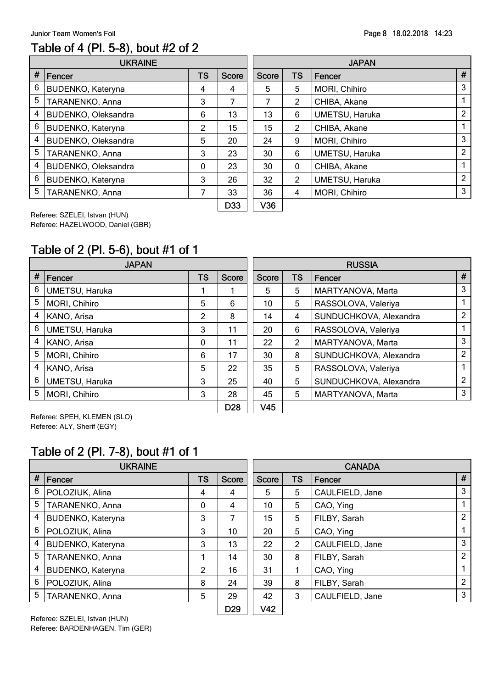#### Page 8 18.02.2018 14:23

#### Table of 4 (Pl. 5-8), bout #2 of 2

|   | <b>UKRAINE</b>      |           |              | <b>JAPAN</b> |                |                       |   |  |
|---|---------------------|-----------|--------------|--------------|----------------|-----------------------|---|--|
| # | Fencer              | <b>TS</b> | <b>Score</b> | <b>Score</b> | <b>TS</b>      | Fencer                | Ħ |  |
| 6 | BUDENKO, Kateryna   | 4         | 4            | 5            | 5              | MORI, Chihiro         | 3 |  |
| 5 | TARANENKO, Anna     | 3         | 7            |              | $\overline{2}$ | CHIBA, Akane          |   |  |
| 4 | BUDENKO, Oleksandra | 6         | 13           | 13           | 6              | <b>UMETSU, Haruka</b> | 2 |  |
| 6 | BUDENKO, Kateryna   | 2         | 15           | 15           | $\overline{2}$ | CHIBA, Akane          |   |  |
| 4 | BUDENKO, Oleksandra | 5         | 20           | 24           | 9              | MORI, Chihiro         | 3 |  |
| 5 | TARANENKO, Anna     | 3         | 23           | 30           | 6              | <b>UMETSU, Haruka</b> | 2 |  |
| 4 | BUDENKO, Oleksandra | 0         | 23           | 30           | 0              | CHIBA, Akane          |   |  |
| 6 | BUDENKO, Kateryna   | 3         | 26           | 32           | $\overline{2}$ | UMETSU, Haruka        | 2 |  |
| 5 | TARANENKO, Anna     | 7         | 33           | 36           | 4              | MORI, Chihiro         | 3 |  |
|   |                     |           | י הר         | 100          |                |                       |   |  |

|       |              | <b>JAPAN</b> |                |   |
|-------|--------------|--------------|----------------|---|
| Score | <b>Score</b> | <b>TS</b>    | Fencer         | # |
| 4     | 5            | 5            | MORI, Chihiro  | 3 |
| 7     | 7            | 2            | CHIBA, Akane   | 1 |
| 13    | 13           | 6            | UMETSU, Haruka | 2 |
| 15    | 15           | 2            | CHIBA, Akane   | 1 |
| 20    | 24           | 9            | MORI, Chihiro  | 3 |
| 23    | 30           | 6            | UMETSU, Haruka | 2 |
| 23    | 30           | 0            | CHIBA, Akane   | 1 |
| 26    | 32           | 2            | UMETSU, Haruka | 2 |
| 33    | 36           | 4            | MORI, Chihiro  | 3 |
| D33   | V36          |              |                |   |

Referee: SZELEI, Istvan (HUN) Referee: HAZELWOOD, Daniel (GBR)

# Table of 2 (Pl. 5-6), bout #1 of 1

|   | <b>JAPAN</b>          |           | <b>RUSSIA</b>   |                 |                |                        |   |
|---|-----------------------|-----------|-----------------|-----------------|----------------|------------------------|---|
| # | Fencer                | <b>TS</b> | <b>Score</b>    | <b>Score</b>    | TS             | Fencer                 | # |
| 6 | <b>UMETSU, Haruka</b> |           |                 | 5               | 5              | MARTYANOVA, Marta      | 3 |
| 5 | MORI, Chihiro         | 5         | 6               | 10              | 5              | RASSOLOVA, Valeriya    |   |
| 4 | KANO, Arisa           | 2         | 8               | 14              | 4              | SUNDUCHKOVA, Alexandra | 2 |
| 6 | UMETSU, Haruka        | 3         | 11              | 20              | 6              | RASSOLOVA, Valeriya    |   |
| 4 | KANO, Arisa           | $\Omega$  | 11              | 22              | $\overline{2}$ | MARTYANOVA, Marta      | 3 |
| 5 | MORI, Chihiro         | 6         | 17              | 30              | 8              | SUNDUCHKOVA, Alexandra | 2 |
| 4 | KANO, Arisa           | 5         | 22              | 35              | 5              | RASSOLOVA, Valeriya    |   |
| 6 | <b>UMETSU, Haruka</b> | 3         | 25              | 40              | 5              | SUNDUCHKOVA, Alexandra | 2 |
| 5 | MORI, Chihiro         | 3         | 28              | 45              | 5              | MARTYANOVA, Marta      | 3 |
|   |                       |           | D <sub>28</sub> | V <sub>45</sub> |                |                        |   |

Referee: SPEH, KLEMEN (SLO) Referee: ALY, Sherif (EGY)

#### Table of 2 (Pl. 7-8), bout #1 of 1

|      | <b>UKRAINE</b>           |           |                 | <b>CANADA</b> |                |                 |               |  |  |
|------|--------------------------|-----------|-----------------|---------------|----------------|-----------------|---------------|--|--|
| $\#$ | Fencer                   | <b>TS</b> | Score           | <b>Score</b>  | <b>TS</b>      | Fencer          | #             |  |  |
| 6    | POLOZIUK, Alina          | 4         | 4               | 5             | 5              | CAULFIELD, Jane | 3             |  |  |
| 5    | TARANENKO, Anna          | 0         | 4               | 10            | 5              | CAO, Ying       |               |  |  |
| 4    | BUDENKO, Kateryna        | 3         | 7               | 15            | 5              | FILBY, Sarah    | 2             |  |  |
| 6    | POLOZIUK, Alina          | 3         | 10              | 20            | 5              | CAO, Ying       |               |  |  |
| 4    | <b>BUDENKO, Kateryna</b> | 3         | 13              | 22            | $\overline{2}$ | CAULFIELD, Jane | 3             |  |  |
| 5    | TARANENKO, Anna          |           | 14              | 30            | 8              | FILBY, Sarah    | 2             |  |  |
| 4    | <b>BUDENKO, Kateryna</b> | 2         | 16              | 31            |                | CAO, Ying       |               |  |  |
| 6    | POLOZIUK, Alina          | 8         | 24              | 39            | 8              | FILBY, Sarah    | $\mathcal{P}$ |  |  |
| 5    | TARANENKO, Anna          | 5         | 29              | 42            | 3              | CAULFIELD, Jane | 3             |  |  |
|      |                          |           | D <sub>29</sub> | V42           |                |                 |               |  |  |

Referee: SZELEI, Istvan (HUN) Referee: BARDENHAGEN, Tim (GER)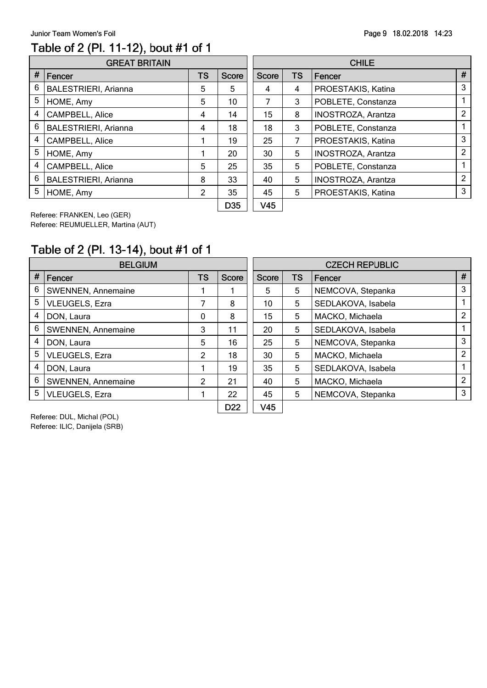#### Table of 2 (Pl. 11-12), bout #1 of 1

|                | <b>GREAT BRITAIN</b>        |                |          | <b>CHILE</b> |           |                           |   |  |  |  |
|----------------|-----------------------------|----------------|----------|--------------|-----------|---------------------------|---|--|--|--|
| #              | Fencer                      |                | Score    | <b>Score</b> | <b>TS</b> | Fencer                    | Ħ |  |  |  |
| 6              | <b>BALESTRIERI, Arianna</b> | 5              | 5        | 4            | 4         | PROESTAKIS, Katina        | 3 |  |  |  |
| 5              | HOME, Amy                   | 5              | 10       |              | 3         | POBLETE, Constanza        |   |  |  |  |
| $\overline{4}$ | CAMPBELL, Alice             | 4              | 14       | 15           | 8         | <b>INOSTROZA, Arantza</b> | Ω |  |  |  |
| 6              | <b>BALESTRIERI, Arianna</b> | 4              | 18       | 18           | 3         | POBLETE, Constanza        |   |  |  |  |
| 4              | CAMPBELL, Alice             |                | 19       | 25           | 7         | PROESTAKIS, Katina        | 3 |  |  |  |
| 5              | HOME, Amy                   |                | 20       | 30           | 5         | <b>INOSTROZA, Arantza</b> | 2 |  |  |  |
| 4              | CAMPBELL, Alice             | 5              | 25       | 35           | 5         | POBLETE, Constanza        |   |  |  |  |
| 6              | <b>BALESTRIERI, Arianna</b> | 8              | 33       | 40           | 5         | INOSTROZA, Arantza        | 2 |  |  |  |
| 5              | HOME, Amy                   | $\overline{2}$ | 35       | 45           | 5         | PROESTAKIS, Katina        | 3 |  |  |  |
|                |                             |                | $1.11 -$ |              |           |                           |   |  |  |  |

|              |              |           | <b>CHILE</b>              |   |
|--------------|--------------|-----------|---------------------------|---|
| <b>Score</b> | <b>Score</b> | <b>TS</b> | Fencer                    | # |
| 5            | 4            | 4         | PROESTAKIS, Katina        | 3 |
| 10           | 7            | 3         | POBLETE, Constanza        | 1 |
| 14           | 15           | 8         | <b>INOSTROZA, Arantza</b> | 2 |
| 18           | 18           | 3         | POBLETE, Constanza        | 1 |
| 19           | 25           | 7         | PROESTAKIS, Katina        | 3 |
| 20           | 30           | 5         | <b>INOSTROZA, Arantza</b> | 2 |
| 25           | 35           | 5         | POBLETE, Constanza        | 1 |
| 33           | 40           | 5         | <b>INOSTROZA, Arantza</b> | 2 |
| 35           | 45           | 5         | PROESTAKIS, Katina        | 3 |
| D35          | V45          |           |                           |   |

Referee: FRANKEN, Leo (GER) Referee: REUMUELLER, Martina (AUT)

# Table of 2 (Pl. 13-14), bout #1 of 1

|                 | <b>BELGIUM</b>            |   | <b>CZECH REPUBLIC</b> |              |    |                    |                |  |
|-----------------|---------------------------|---|-----------------------|--------------|----|--------------------|----------------|--|
| #               | Fencer                    |   | <b>Score</b>          | <b>Score</b> | TS | <b>Fencer</b>      | #              |  |
| 6               | <b>SWENNEN, Annemaine</b> |   |                       | 5            | 5  | NEMCOVA, Stepanka  | 3              |  |
| 5               | <b>VLEUGELS, Ezra</b>     | 7 | 8                     | 10           | 5  | SEDLAKOVA, Isabela |                |  |
| 4               | DON, Laura                | 0 | 8                     | 15           | 5  | MACKO, Michaela    | $\overline{2}$ |  |
| 6               | <b>SWENNEN, Annemaine</b> | 3 | 11                    | 20           | 5  | SEDLAKOVA, Isabela |                |  |
| 4               | DON, Laura                | 5 | 16                    | 25           | 5  | NEMCOVA, Stepanka  | 3              |  |
| 5               | <b>VLEUGELS, Ezra</b>     | 2 | 18                    | 30           | 5  | MACKO, Michaela    | 2              |  |
| 4<br>DON, Laura |                           |   | 19                    | 35           | 5  | SEDLAKOVA, Isabela |                |  |
| 6               | <b>SWENNEN, Annemaine</b> | 2 | 21                    | 40           | 5  | MACKO, Michaela    | $\mathfrak{p}$ |  |
| 5               | <b>VLEUGELS, Ezra</b>     |   | 22                    | 45           | 5  | NEMCOVA, Stepanka  | 3              |  |
|                 | _ . _ _ _ .               |   | D <sub>22</sub>       | V45          |    |                    |                |  |

Referee: DUL, Michal (POL) Referee: ILIC, Danijela (SRB)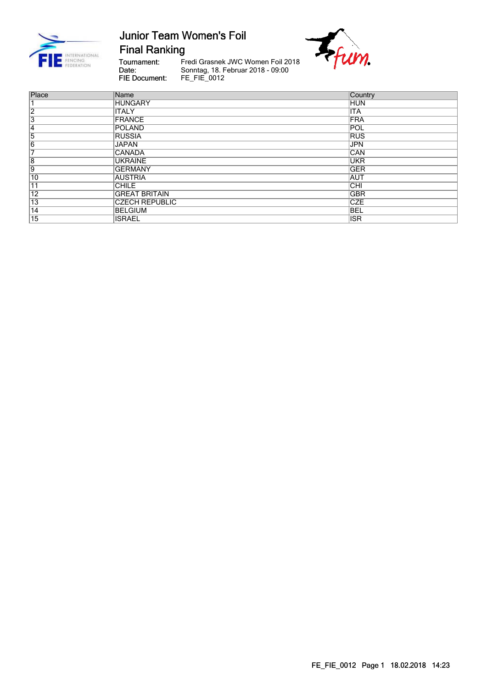

**Final Ranking** 

Tournament:<br>Date: FIE Document:

Fredi Grasnek JWC Women Foil 2018 Sonntag, 18. Februar 2018 - 09:00<br>FE\_FIE\_0012



| Place           | Name                  | <b>Country</b> |
|-----------------|-----------------------|----------------|
| 1               | <b>HUNGARY</b>        | <b>HUN</b>     |
| $\overline{2}$  | <b>ITALY</b>          | <b>ITA</b>     |
| $\overline{3}$  | <b>FRANCE</b>         | FRA            |
| $\overline{4}$  | POLAND                | POL            |
| 5               | <b>RUSSIA</b>         | <b>RUS</b>     |
| $\overline{6}$  | <b>JAPAN</b>          | <b>JPN</b>     |
| 7               | <b>CANADA</b>         | <b>CAN</b>     |
| $\overline{8}$  | <b>UKRAINE</b>        | <b>UKR</b>     |
| 9               | <b>GERMANY</b>        | <b>GER</b>     |
| $\overline{10}$ | <b>AUSTRIA</b>        | <b>AUT</b>     |
| $\overline{11}$ | <b>CHILE</b>          | <b>CHI</b>     |
| $\overline{12}$ | <b>GREAT BRITAIN</b>  | <b>GBR</b>     |
| $\overline{13}$ | <b>CZECH REPUBLIC</b> | <b>CZE</b>     |
| $\overline{14}$ | <b>BELGIUM</b>        | <b>BEL</b>     |
| $\overline{15}$ | <b>ISRAEL</b>         | <b>ISR</b>     |